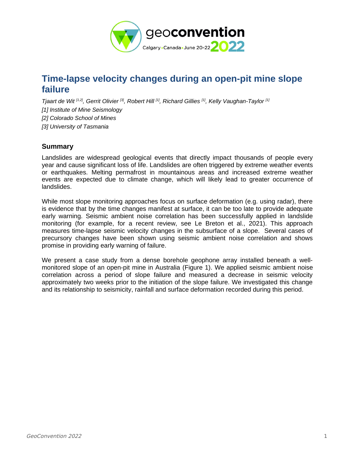

# **Time-lapse velocity changes during an open-pit mine slope failure**

*Tjaart de Wit [1,2], Gerrit Olivier [3], Robert Hill [1], Richard Gillies [1], Kelly Vaughan-Taylor [1] [1] Institute of Mine Seismology [2] Colorado School of Mines [3] University of Tasmania*

## **Summary**

Landslides are widespread geological events that directly impact thousands of people every year and cause significant loss of life. Landslides are often triggered by extreme weather events or earthquakes. Melting permafrost in mountainous areas and increased extreme weather events are expected due to climate change, which will likely lead to greater occurrence of landslides.

While most slope monitoring approaches focus on surface deformation (e.g. using radar), there is evidence that by the time changes manifest at surface, it can be too late to provide adequate early warning. Seismic ambient noise correlation has been successfully applied in landslide monitoring (for example, for a recent review, see Le Breton et al., 2021). This approach measures time-lapse seismic velocity changes in the subsurface of a slope. Several cases of precursory changes have been shown using seismic ambient noise correlation and shows promise in providing early warning of failure.

We present a case study from a dense borehole geophone array installed beneath a wellmonitored slope of an open-pit mine in Australia (Figure 1). We applied seismic ambient noise correlation across a period of slope failure and measured a decrease in seismic velocity approximately two weeks prior to the initiation of the slope failure. We investigated this change and its relationship to seismicity, rainfall and surface deformation recorded during this period.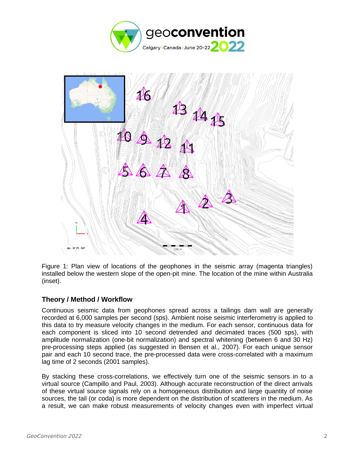



Figure 1: Plan view of locations of the geophones in the seismic array (magenta triangles) installed below the western slope of the open-pit mine. The location of the mine within Australia (inset).

### **Theory / Method / Workflow**

Continuous seismic data from geophones spread across a tailings dam wall are generally recorded at 6,000 samples per second (sps). Ambient noise seismic interferometry is applied to this data to try measure velocity changes in the medium. For each sensor, continuous data for each component is sliced into 10 second detrended and decimated traces (500 sps), with amplitude normalization (one-bit normalization) and spectral whitening (between 6 and 30 Hz) pre-processing steps applied (as suggested in Bensen et al., 2007). For each unique sensor pair and each 10 second trace, the pre-processed data were cross-correlated with a maximum lag time of 2 seconds (2001 samples).

By stacking these cross-correlations, we effectively turn one of the seismic sensors in to a virtual source (Campillo and Paul, 2003). Although accurate reconstruction of the direct arrivals of these virtual source signals rely on a homogeneous distribution and large quantity of noise sources, the tail (or coda) is more dependent on the distribution of scatterers in the medium. As a result, we can make robust measurements of velocity changes even with imperfect virtual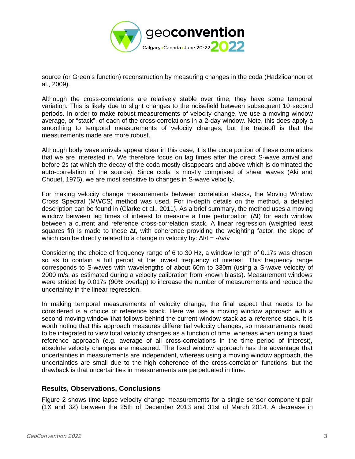

source (or Green's function) reconstruction by measuring changes in the coda (Hadziioannou et al., 2009).

Although the cross-correlations are relatively stable over time, they have some temporal variation. This is likely due to slight changes to the noisefield between subsequent 10 second periods. In order to make robust measurements of velocity change, we use a moving window average, or "stack", of each of the cross-correlations in a 2-day window. Note, this does apply a smoothing to temporal measurements of velocity changes, but the tradeoff is that the measurements made are more robust.

Although body wave arrivals appear clear in this case, it is the coda portion of these correlations that we are interested in. We therefore focus on lag times after the direct S-wave arrival and before 2s (at which the decay of the coda mostly disappears and above which is dominated the auto-correlation of the source). Since coda is mostly comprised of shear waves (Aki and Chouet, 1975), we are most sensitive to changes in S-wave velocity.

For making velocity change measurements between correlation stacks, the Moving Window Cross Spectral (MWCS) method was used. For in-depth details on the method, a detailed description can be found in (Clarke et al., 2011). As a brief summary, the method uses a moving window between lag times of interest to measure a time perturbation (∆t) for each window between a current and reference cross-correlation stack. A linear regression (weighted least squares fit) is made to these ∆t, with coherence providing the weighting factor, the slope of which can be directly related to a change in velocity by: ∆t/t = -∆v/v

Considering the choice of frequency range of 6 to 30 Hz, a window length of 0.17s was chosen so as to contain a full period at the lowest frequency of interest. This frequency range corresponds to S-waves with wavelengths of about 60m to 330m (using a S-wave velocity of 2000 m/s, as estimated during a velocity calibration from known blasts). Measurement windows were strided by 0.017s (90% overlap) to increase the number of measurements and reduce the uncertainty in the linear regression.

In making temporal measurements of velocity change, the final aspect that needs to be considered is a choice of reference stack. Here we use a moving window approach with a second moving window that follows behind the current window stack as a reference stack. It is worth noting that this approach measures differential velocity changes, so measurements need to be integrated to view total velocity changes as a function of time, whereas when using a fixed reference approach (e.g. average of all cross-correlations in the time period of interest), absolute velocity changes are measured. The fixed window approach has the advantage that uncertainties in measurements are independent, whereas using a moving window approach, the uncertainties are small due to the high coherence of the cross-correlation functions, but the drawback is that uncertainties in measurements are perpetuated in time.

### **Results, Observations, Conclusions**

Figure 2 shows time-lapse velocity change measurements for a single sensor component pair (1X and 3Z) between the 25th of December 2013 and 31st of March 2014. A decrease in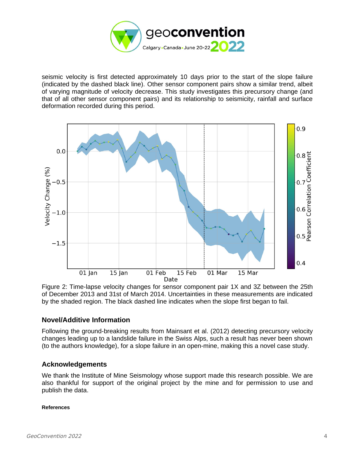

seismic velocity is first detected approximately 10 days prior to the start of the slope failure (indicated by the dashed black line). Other sensor component pairs show a similar trend, albeit of varying magnitude of velocity decrease. This study investigates this precursory change (and that of all other sensor component pairs) and its relationship to seismicity, rainfall and surface deformation recorded during this period.



Figure 2: Time-lapse velocity changes for sensor component pair 1X and 3Z between the 25th of December 2013 and 31st of March 2014. Uncertainties in these measurements are indicated by the shaded region. The black dashed line indicates when the slope first began to fail.

### **Novel/Additive Information**

Following the ground-breaking results from Mainsant et al. (2012) detecting precursory velocity changes leading up to a landslide failure in the Swiss Alps, such a result has never been shown (to the authors knowledge), for a slope failure in an open-mine, making this a novel case study.

#### **Acknowledgements**

We thank the Institute of Mine Seismology whose support made this research possible. We are also thankful for support of the original project by the mine and for permission to use and publish the data.

#### **References**